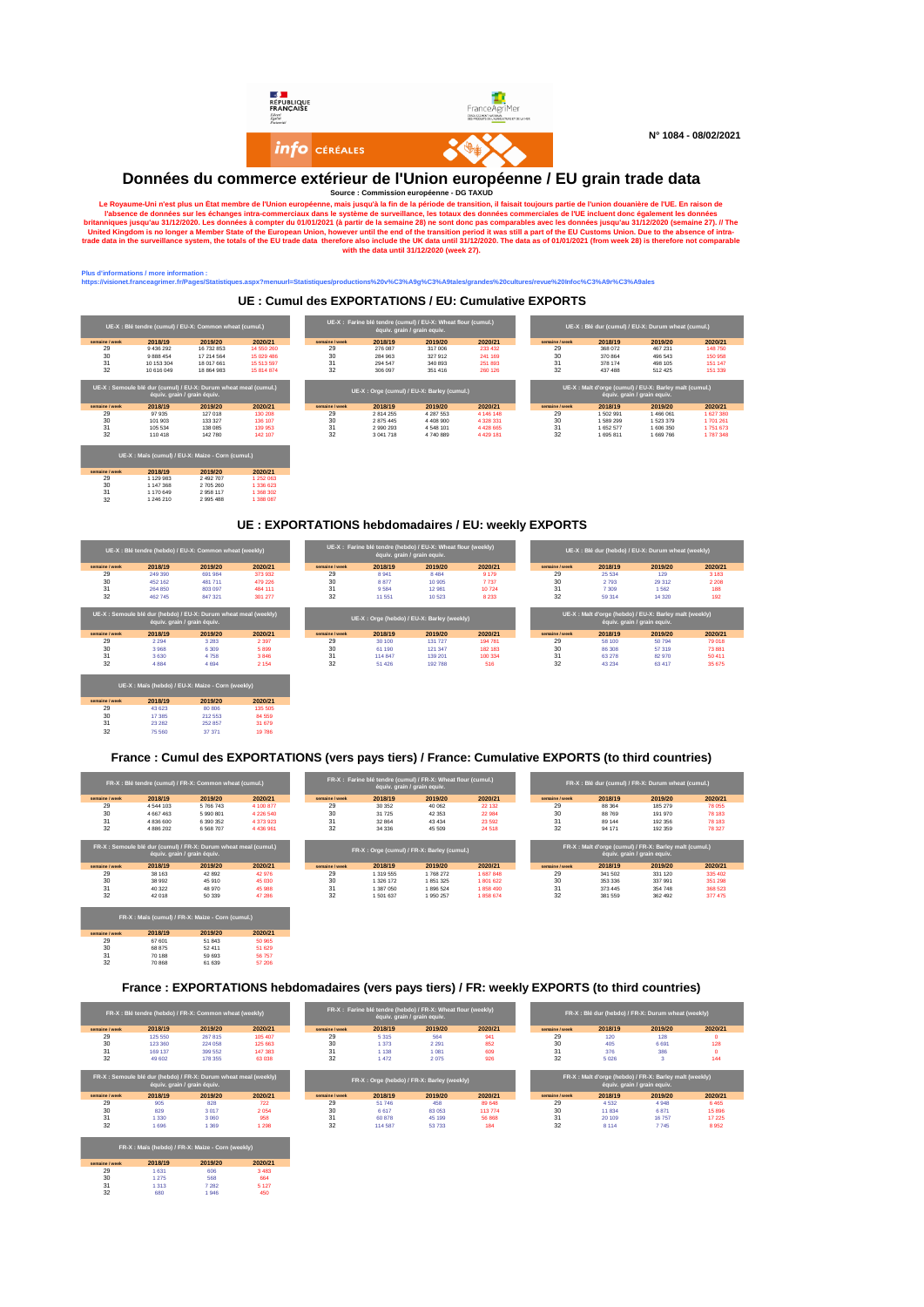

**DONNÉES du commerce extérieur de l'Union européenne** DG TAXUD<br>
Ele Royaume-Uni n'est plus un État membre de l'Union européenne, mais jusqu'à la fin de la période de transition, il faisait toujours partie de l'union duranè

#### us d'informations / more information :<br>tps://visionet.franceagrimer.fr/Pages/Statistiq **https://visionet.franceagrimer.fr/Pages/Statistiques.aspx?menuurl=Statistiques/productions%20v%C3%A9g%C3%A9tales/grandes%20cultures/revue%20Infoc%C3%A9r%C3%A9ales**

29 1 129 983 2 492 707 1 252 063 30 1 147 368 2 705 260 1 336 623 31 1 170 649 2 958 117 1 368 302 32 1 246 210 2 995 488 1 388 087

29 43 623 80 806 135 505 30 17 385 212 553 84 559 31 23 282 252 857 31 679 32 75 560 37 371 19 786

#### **UE : Cumul des EXPORTATIONS / EU: Cumulative EXPORTS**

|                |                                        | UE-X : Blé tendre (cumul) / EU-X: Common wheat (cumul.) |            |                |           | UE-X : Farine blé tendre (cumul) / EU-X: Wheat flour (cumul.)<br>équiv. grain / grain equiv. |             |                |           | UE-X : Blé dur (cumul) / EU-X: Durum wheat (cumul.) |           |
|----------------|----------------------------------------|---------------------------------------------------------|------------|----------------|-----------|----------------------------------------------------------------------------------------------|-------------|----------------|-----------|-----------------------------------------------------|-----------|
| semaine / week | 2018/19                                | 2019/20                                                 | 2020/21    | semaine / week | 2018/19   | 2019/20                                                                                      | 2020/21     | semaine / week | 2018/19   | 2019/20                                             | 2020/21   |
| 29             | 9 436 292                              | 16 732 853                                              | 14 550 260 | 29             | 276 087   | 317 006                                                                                      | 233 432     | 29             | 368 072   | 467 231                                             | 148750    |
| 30             | 9 8 8 4 5 4                            | 17 214 564                                              | 15 029 486 | 30             | 284 963   | 327912                                                                                       | 241 169     | 30             | 370 864   | 496 543                                             | 150 958   |
| 31             | 10 153 304                             | 18 017 661                                              | 15 513 597 | 31             | 294 547   | 340 893                                                                                      | 251 893     | 31             | 378 174   | 498 105                                             | 151 147   |
| 32             | 10 616 049                             | 18 864 983                                              | 15 814 874 | 32             | 306 097   | 351 416                                                                                      | 260 126     | 32             | 437 488   | 512 425                                             | 151 339   |
| semaine / week | équiv. grain / grain équiv.<br>2018/19 | 2019/20                                                 | 2020/21    | semaine / week | 2018/19   | UE-X : Orge (cumul) / EU-X: Barley (cumul.)<br>2019/20                                       | 2020/21     | semaine / week | 2018/19   | équiv. grain / grain equiv.<br>2019/20              | 2020/21   |
|                |                                        |                                                         |            |                |           |                                                                                              |             |                |           |                                                     |           |
| 29             | 97 935                                 | 127 018                                                 | 130 208    | 29             | 2 814 255 | 4 287 553                                                                                    | 4 146 148   | 29             | 1502991   | 1 466 061                                           | 1 627 380 |
| 30             | 101 903                                | 133 327                                                 | 136 107    | 30             | 2875445   | 4 4 08 9 00                                                                                  | 4 3 28 3 31 | 30             | 1589299   | 1523379                                             | 1701261   |
| 31             | 105 534                                | 138 085                                                 | 139 953    | 31             | 2990293   | 4548101                                                                                      | 4428665     | 31             | 1 652 577 | 1 606 350                                           | 1751673   |
|                |                                        |                                                         |            | 32             | 3 041 718 | 4740889                                                                                      | 4429181     | 32             | 1695811   | 1 669 766                                           | 1787348   |
| 32             | 110 418                                | 142 780                                                 | 142 107    |                |           |                                                                                              |             |                |           |                                                     |           |

#### **UE : EXPORTATIONS hebdomadaires / EU: weekly EXPORTS**

|                |                                        | UE-X : Blé tendre (hebdo) / EU-X: Common wheat (weekly)                     |         |                |         | UE-X : Farine blé tendre (hebdo) / EU-X: Wheat flour (weekly)<br>équiv. grain / grain equiv. |         |                |         | UE-X : Blé dur (hebdo) / EU-X: Durum wheat (weekly)                                              |         |
|----------------|----------------------------------------|-----------------------------------------------------------------------------|---------|----------------|---------|----------------------------------------------------------------------------------------------|---------|----------------|---------|--------------------------------------------------------------------------------------------------|---------|
| semaine / week | 2018/19                                | 2019/20                                                                     | 2020/21 | semaine / week | 2018/19 | 2019/20                                                                                      | 2020/21 | semaine / week | 2018/19 | 2019/20                                                                                          | 2020/21 |
| 29             | 249 390                                | 691 984                                                                     | 373932  | 29             | 8 9 4 1 | 8 4 8 4                                                                                      | 9 1 7 9 | 29             | 25 5 34 | 129                                                                                              | 3 1 8 3 |
| 30             | 452 162                                | 481 711                                                                     | 479 226 | 30             | 8877    | 10 905                                                                                       | 7737    | 30             | 2793    | 29 31 2                                                                                          | 2 2 0 8 |
| 31             | 264 850                                | 803 097                                                                     | 484 111 | 31             | 9584    | 12 981                                                                                       | 10724   | 31             | 7 3 0 9 | 1562                                                                                             | 188     |
| 32             | 462 745                                | 847 321                                                                     | 301 277 | 32             | 11 551  | 10 5 23                                                                                      | 8 2 3 3 | 32             | 59 314  | 14 3 20                                                                                          | 192     |
| semaine / week | équiv. grain / grain équiv.<br>2018/19 | UE-X : Semoule blé dur (hebdo) / EU-X: Durum wheat meal (weekly)<br>2019/20 | 2020/21 | semaine / week | 2018/19 | UE-X: Orge (hebdo) / EU-X: Barley (weekly)<br>2019/20                                        | 2020/21 | semaine / week | 2018/19 | UE-X: Malt d'orge (hebdo) / EU-X: Barley malt (weekly)<br>équiv. grain / grain equiv.<br>2019/20 | 2020/21 |
| 29             | 2 2 9 4                                | 3 2 8 3                                                                     | 2 3 9 7 | 29             | 30 100  | 131 727                                                                                      | 194 781 | 29             | 58 100  | 50794                                                                                            | 79 018  |
| 30             | 3968                                   | 6 3 0 9                                                                     | 5899    | 30             | 61 190  | 121 347                                                                                      | 182 183 | 30             | 86 30 8 | 57 319                                                                                           | 73 881  |
| 31             | 3 6 3 0                                | 4758                                                                        | 3846    | 31             | 114 847 | 139 201                                                                                      | 100 334 | 31             | 63 278  | 82 970                                                                                           | 50 411  |
| 32             | 4884                                   | 4 6 9 4                                                                     | 2 1 5 4 | 32             | 51 4 26 | 192788                                                                                       | 516     | 32             | 43 234  | 63 417                                                                                           | 35 675  |
| semaine / week | 2018/19                                | UE-X: Maïs (hebdo) / EU-X: Maize - Corn (weekly)<br>2019/20                 | 2020/21 |                |         |                                                                                              |         |                |         |                                                                                                  |         |

#### **France : Cumul des EXPORTATIONS (vers pays tiers) / France: Cumulative EXPORTS (to third countries)**

|                |               | FR-X : Blé tendre (cumul) / FR-X: Common wheat (cumul.)                                         |               |                |           | FR-X : Farine blé tendre (cumul) / FR-X: Wheat flour (cumul.)<br>équiv. grain / grain equiv. |          |                |         | FR-X : Blé dur (cumul) / FR-X: Durum wheat (cumul.)                                    |         |
|----------------|---------------|-------------------------------------------------------------------------------------------------|---------------|----------------|-----------|----------------------------------------------------------------------------------------------|----------|----------------|---------|----------------------------------------------------------------------------------------|---------|
| semaine / week | 2018/19       | 2019/20                                                                                         | 2020/21       | semaine / week | 2018/19   | 2019/20                                                                                      | 2020/21  | semaine / week | 2018/19 | 2019/20                                                                                | 2020/21 |
| 29             | 4 5 4 4 1 0 3 | 5766743                                                                                         | 4 100 877     | 29             | 30 35 2   | 40 062                                                                                       | 22 13 2  | 29             | 88 364  | 185 279                                                                                | 78 055  |
| 30             | 4 667 463     | 5990801                                                                                         | 4 2 2 6 5 4 0 | 30             | 31 7 25   | 42 3 53                                                                                      | 22 984   | 30             | 88769   | 191 970                                                                                | 78 183  |
| 31             | 4 836 600     | 6 390 352                                                                                       | 4 373 923     | 31             | 32 864    | 43 4 34                                                                                      | 23 5 9 2 | 31             | 89 144  | 192 356                                                                                | 78 183  |
| 32             | 4 8 8 6 2 0 2 | 6 5 68 7 0 7                                                                                    | 4 4 3 6 9 6 1 | 32             | 34 3 36   | 45 509                                                                                       | 24 5 18  | 32             | 94 171  | 192 359                                                                                | 78 327  |
|                |               | FR-X : Semoule blé dur (cumul) / FR-X: Durum wheat meal (cumul.)<br>équiv. grain / grain équiv. |               |                |           | FR-X: Orge (cumul) / FR-X: Barley (cumul.)                                                   |          |                |         | FR-X : Malt d'orge (cumul) / FR-X: Barley malt (cumul.)<br>équiv. grain / grain equiv. |         |
| semaine / week | 2018/19       | 2019/20                                                                                         | 2020/21       | semaine / week | 2018/19   | 2019/20                                                                                      | 2020/21  | semaine / week | 2018/19 | 2019/20                                                                                | 2020/21 |
| 29             | 38 163        | 42 892                                                                                          | 42 976        | 29             | 1 319 555 | 1768 272                                                                                     | 1687848  | 29             | 341 502 | 331 120                                                                                | 335 402 |
| 30             | 38 992        | 45 910                                                                                          | 45 030        | 30             | 1 326 172 | 1851325                                                                                      | 1801622  | 30             | 353 336 | 337 991                                                                                | 351 298 |
| 31             | 40 322        | 48 970                                                                                          | 45 988        | 31             | 1 387 050 | 1896 524                                                                                     | 1858490  | 31             | 373 445 | 354 748                                                                                | 368 523 |
| 32             | 42 018        | 50 339                                                                                          | 47 286        | 32             | 1501637   | 1950 257                                                                                     | 1858674  | 32             | 381 559 | 362 492                                                                                | 377 475 |
| semaine / week | 2018/19       | FR-X : Maïs (cumul) / FR-X: Maize - Corn (cumul.)<br>2019/20                                    | 2020/21       |                |           |                                                                                              |          |                |         |                                                                                        |         |
| 29             | 67 601        | 51843                                                                                           | 50 965        |                |           |                                                                                              |          |                |         |                                                                                        |         |
| 30             | 68 875        | 52 411                                                                                          | 51 629        |                |           |                                                                                              |          |                |         |                                                                                        |         |
| 31             | 70 188        | 59 693                                                                                          | 56757         |                |           |                                                                                              |          |                |         |                                                                                        |         |
| 32             | 70 868        | 61 639                                                                                          | 57 206        |                |           |                                                                                              |          |                |         |                                                                                        |         |

#### **France : EXPORTATIONS hebdomadaires (vers pays tiers) / FR: weekly EXPORTS (to third countries)**

|                |         | FR-X : Blé tendre (hebdo) / FR-X: Common wheat (weekly)                                         |         |                |         | FR-X : Farine blé tendre (hebdo) / FR-X: Wheat flour (weekly)<br>équiv. grain / grain equiv. |         |                |         | FR-X : Blé dur (hebdo) / FR-X: Durum wheat (weekly)                                   |          |
|----------------|---------|-------------------------------------------------------------------------------------------------|---------|----------------|---------|----------------------------------------------------------------------------------------------|---------|----------------|---------|---------------------------------------------------------------------------------------|----------|
| semaine / week | 2018/19 | 2019/20                                                                                         | 2020/21 | semaine / week | 2018/19 | 2019/20                                                                                      | 2020/21 | semaine / week | 2018/19 | 2019/20                                                                               | 2020/21  |
| 29             | 125 550 | 267 815                                                                                         | 105 407 | 29             | 5315    | 564                                                                                          | 941     | 29             | 120     | 128                                                                                   | $\Omega$ |
| 30             | 123 360 | 224 058                                                                                         | 125 663 | 30             | 1 3 7 3 | 2 2 9 1                                                                                      | 852     | 30             | 405     | 6 6 9 1                                                                               | 128      |
| 31             | 169 137 | 399 552                                                                                         | 147 383 | 31             | 1 1 3 8 | 1.081                                                                                        | 609     | 31             | 376     | 386                                                                                   | $\circ$  |
| 32             | 49 602  | 178 355                                                                                         | 63 038  | 32             | 1472    | 2075                                                                                         | 926     | 32             | 5 0 26  | $\mathbf{a}$                                                                          | 144      |
|                |         | FR-X : Semoule blé dur (hebdo) / FR-X: Durum wheat meal (weekly)<br>équiv. grain / grain équiv. |         |                |         | FR-X: Orge (hebdo) / FR-X: Barley (weekly)                                                   |         |                |         | FR-X: Malt d'orge (hebdo) / FR-X: Barley malt (weekly)<br>équiv. grain / grain equiv. |          |
| semaine / week | 2018/19 | 2019/20                                                                                         | 2020/21 | semaine / week | 2018/19 | 2019/20                                                                                      | 2020/21 | semaine / week | 2018/19 | 2019/20                                                                               | 2020/21  |
| 29             | 905     | 828                                                                                             | 722     | 29             | 51,746  | 458                                                                                          | 89 648  | 29             | 4532    | 4948                                                                                  | 6.465    |
| 30             | 829     | 3017                                                                                            | 2054    | 30             | 6617    | 83 053                                                                                       | 113 774 | 30             | 11834   | 6871                                                                                  | 15 8 96  |
| 31             | 1 3 3 0 | 3 0 6 0                                                                                         | 958     | 31             | 60 878  | 45 199                                                                                       | 56 868  | 31             | 20 109  | 16757                                                                                 | 17 225   |
| 32             | 1696    | 1 3 6 9                                                                                         | 1 2 9 8 | 32             | 114,587 | 53733                                                                                        | 184     | 32             | 8.114   | 7 7 45                                                                                | 8952     |
|                |         | FR-X: Maïs (hebdo) / FR-X: Maize - Corn (weekly)                                                |         |                |         |                                                                                              |         |                |         |                                                                                       |          |
| semaine / week | 2018/19 | 2019/20                                                                                         | 2020/21 |                |         |                                                                                              |         |                |         |                                                                                       |          |
| 29             | 1 6 3 1 | 606                                                                                             | 3 4 8 3 |                |         |                                                                                              |         |                |         |                                                                                       |          |
| 30             | 1 2 7 5 | 568                                                                                             | 664     |                |         |                                                                                              |         |                |         |                                                                                       |          |
| 31             | 1313    | 7 2 8 2                                                                                         | 5 1 2 7 |                |         |                                                                                              |         |                |         |                                                                                       |          |
| 32             | 680     | 1946                                                                                            | 450     |                |         |                                                                                              |         |                |         |                                                                                       |          |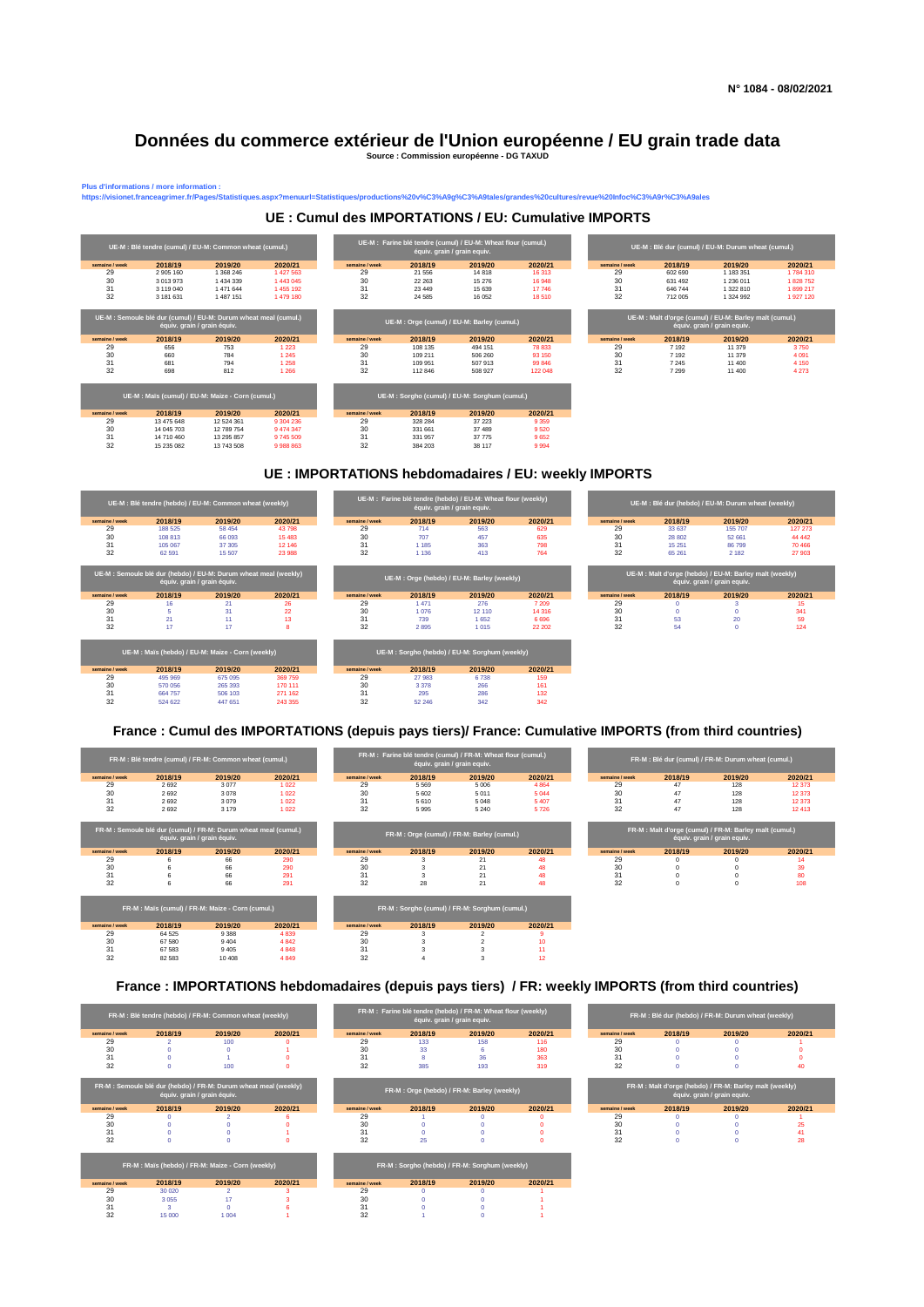#### **Données du commerce extérieur de l'Union européenne / EU grain trade data Source : Commission européenne - DG TAXUD**

us d'informations / more information<br>:ps://visionet.franceagrimer.fr/Pages

## **UE : Cumul des IMPORTATIONS / EU: Cumulative IMPORTS**

**https://visionet.franceagrimer.fr/Pages/Statistiques.aspx?menuurl=Statistiques/productions%20v%C3%A9g%C3%A9tales/grandes%20cultures/revue%20Infoc%C3%A9r%C3%A9ales**



#### **UE : IMPORTATIONS hebdomadaires / EU: weekly IMPORTS**



### **France : Cumul des IMPORTATIONS (depuis pays tiers)/ France: Cumulative IMPORTS (from third countries)**

|                | FR-M : Blé tendre (cumul) / FR-M: Common wheat (cumul.)                                         |         |         |                |         | FR-M : Farine blé tendre (cumul) / FR-M: Wheat flour (cumul.)<br>équiv. grain / grain equiv. |                 |                |          | FR-M : Blé dur (cumul) / FR-M: Durum wheat (cumul.)                                   |         |
|----------------|-------------------------------------------------------------------------------------------------|---------|---------|----------------|---------|----------------------------------------------------------------------------------------------|-----------------|----------------|----------|---------------------------------------------------------------------------------------|---------|
| semaine / week | 2018/19                                                                                         | 2019/20 | 2020/21 | semaine / week | 2018/19 | 2019/20                                                                                      | 2020/21         | semaine / week | 2018/19  | 2019/20                                                                               | 2020/21 |
| 29             | 2692                                                                                            | 3077    | 1022    | 29             | 5 5 6 9 | 5 0 0 6                                                                                      | 4864            | 29             | 47       | 128                                                                                   | 12373   |
| 30             | 2692                                                                                            | 3078    | 1022    | 30             | 5 6 0 2 | 5011                                                                                         | 5 0 4 4         | 30             | 47       | 128                                                                                   | 12373   |
| 31             | 2692                                                                                            | 3079    | 1022    | 31             | 5610    | 5 0 4 8                                                                                      | 5 4 0 7         | 31             | 47       | 128                                                                                   | 12373   |
| 32             | 2692                                                                                            | 3 1 7 9 | 1022    | 32             | 5995    | 5 2 4 0                                                                                      | 5726            | 32             | 47       | 128                                                                                   | 12413   |
|                | FR-M : Semoule blé dur (cumul) / FR-M: Durum wheat meal (cumul.)<br>équiv. grain / grain équiv. |         |         |                |         | FR-M : Orge (cumul) / FR-M: Barley (cumul.)                                                  |                 |                |          | FR-M: Malt d'orge (cumul) / FR-M: Barley malt (cumul.)<br>équiv. grain / grain equiv. |         |
| semaine / week | 2018/19                                                                                         | 2019/20 | 2020/21 | semaine / week | 2018/19 | 2019/20                                                                                      | 2020/21         | semaine / week | 2018/19  | 2019/20                                                                               | 2020/21 |
|                |                                                                                                 | 66      | 290     | 29             |         | 21                                                                                           | 48              | 29             |          |                                                                                       |         |
| 29             |                                                                                                 |         |         |                |         |                                                                                              |                 |                |          |                                                                                       |         |
| 30             |                                                                                                 | 66      | 290     | 30             |         | 21                                                                                           | 48              | 30             |          |                                                                                       |         |
| 31             | 6                                                                                               | 66      | 291     | 31             |         | 21                                                                                           | 48              | 31             |          |                                                                                       |         |
| 32             | 6                                                                                               | 66      | 291     | 32             | 28      | 21                                                                                           | 48              | 32             | $\Omega$ |                                                                                       |         |
|                | FR-M : Maïs (cumul) / FR-M: Maize - Corn (cumul.)                                               |         |         |                |         | FR-M : Sorgho (cumul) / FR-M: Sorghum (cumul.)                                               |                 |                |          |                                                                                       |         |
| semaine / week | 2018/19                                                                                         | 2019/20 | 2020/21 | semaine / week | 2018/19 | 2019/20                                                                                      | 2020/21         |                |          |                                                                                       |         |
| 29             | 64 5 25                                                                                         | 9 3 8 8 | 4839    | 29             |         |                                                                                              |                 |                |          |                                                                                       |         |
| 30             | 67 580                                                                                          | 9 4 0 4 | 4842    | 30             |         |                                                                                              | 10 <sup>1</sup> |                |          |                                                                                       |         |
| 31             | 67 583                                                                                          | 9 4 0 5 | 4848    | 31             |         |                                                                                              |                 |                |          |                                                                                       |         |

**France : IMPORTATIONS hebdomadaires (depuis pays tiers) / FR: weekly IMPORTS (from third countries)**

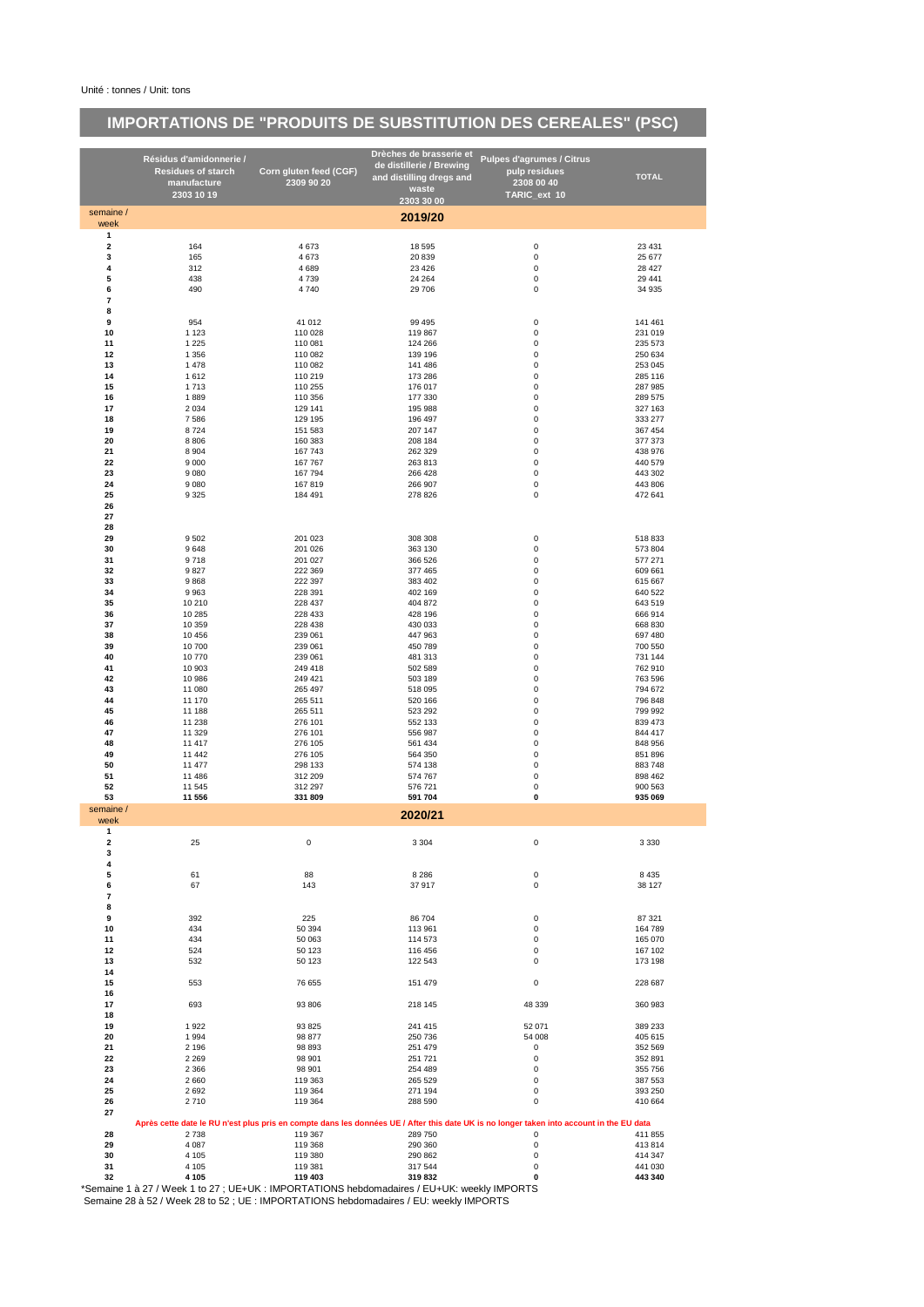# **IMPORTATIONS DE "PRODUITS DE SUBSTITUTION DES CEREALES" (PSC)**

|                                         | Résidus d'amidonnerie /                                                                                 |                        | Drèches de brasserie et                              | <b>Pulpes d'agrumes / Citrus</b>                                                                                                         |                    |
|-----------------------------------------|---------------------------------------------------------------------------------------------------------|------------------------|------------------------------------------------------|------------------------------------------------------------------------------------------------------------------------------------------|--------------------|
|                                         | <b>Residues of starch</b>                                                                               | Corn gluten feed (CGF) | de distillerie / Brewing<br>and distilling dregs and | pulp residues                                                                                                                            | <b>TOTAL</b>       |
|                                         | manufacture                                                                                             | 2309 90 20             | waste                                                | 2308 00 40                                                                                                                               |                    |
|                                         | 2303 10 19                                                                                              |                        | 2303 30 00                                           | TARIC_ext 10                                                                                                                             |                    |
| semaine /<br>week                       |                                                                                                         |                        | 2019/20                                              |                                                                                                                                          |                    |
| $\mathbf{1}$                            |                                                                                                         |                        |                                                      |                                                                                                                                          |                    |
| $\overline{\mathbf{2}}$                 | 164                                                                                                     | 4673                   | 18 5 95                                              | 0                                                                                                                                        | 23 4 31            |
| 3                                       | 165                                                                                                     | 4 6 7 3                | 20 839                                               | 0                                                                                                                                        | 25 677             |
| 4<br>5                                  | 312<br>438                                                                                              | 4689<br>4739           | 23 4 26<br>24 264                                    | 0<br>0                                                                                                                                   | 28 4 27<br>29 441  |
| 6                                       | 490                                                                                                     | 4740                   | 29 706                                               | 0                                                                                                                                        | 34 935             |
| $\overline{\phantom{a}}$                |                                                                                                         |                        |                                                      |                                                                                                                                          |                    |
| 8                                       |                                                                                                         |                        |                                                      |                                                                                                                                          |                    |
| 9                                       | 954                                                                                                     | 41 012                 | 99 4 95                                              | 0                                                                                                                                        | 141 461<br>231 019 |
| 10<br>11                                | 1 1 2 3<br>1 2 2 5                                                                                      | 110 028<br>110 081     | 119 867<br>124 266                                   | 0<br>$\pmb{0}$                                                                                                                           | 235 573            |
| 12                                      | 1 3 5 6                                                                                                 | 110 082                | 139 196                                              | 0                                                                                                                                        | 250 634            |
| 13                                      | 1478                                                                                                    | 110 082                | 141 486                                              | 0                                                                                                                                        | 253 045            |
| 14                                      | 1612                                                                                                    | 110 219                | 173 286                                              | 0                                                                                                                                        | 285 116            |
| 15<br>16                                | 1713<br>1889                                                                                            | 110 255<br>110 356     | 176 017<br>177 330                                   | 0<br>$\pmb{0}$                                                                                                                           | 287 985<br>289 575 |
| 17                                      | 2 0 3 4                                                                                                 | 129 141                | 195 988                                              | 0                                                                                                                                        | 327 163            |
| 18                                      | 7586                                                                                                    | 129 195                | 196 497                                              | 0                                                                                                                                        | 333 277            |
| 19                                      | 8724                                                                                                    | 151 583                | 207 147                                              | 0                                                                                                                                        | 367 454            |
| 20                                      | 8 8 0 6                                                                                                 | 160 383                | 208 184                                              | 0                                                                                                                                        | 377 373<br>438 976 |
| 21<br>22                                | 8 9 0 4<br>9 0 0 0                                                                                      | 167 743<br>167 767     | 262 329<br>263 813                                   | 0<br>$\pmb{0}$                                                                                                                           | 440 579            |
| 23                                      | 9 0 8 0                                                                                                 | 167 794                | 266 428                                              | 0                                                                                                                                        | 443 302            |
| 24                                      | 9 0 8 0                                                                                                 | 167819                 | 266 907                                              | 0                                                                                                                                        | 443 806            |
| 25                                      | 9 3 2 5                                                                                                 | 184 491                | 278 826                                              | 0                                                                                                                                        | 472 641            |
| 26                                      |                                                                                                         |                        |                                                      |                                                                                                                                          |                    |
| 27<br>28                                |                                                                                                         |                        |                                                      |                                                                                                                                          |                    |
| 29                                      | 9502                                                                                                    | 201 023                | 308 308                                              | 0                                                                                                                                        | 518 833            |
| 30                                      | 9648                                                                                                    | 201 026                | 363 130                                              | 0                                                                                                                                        | 573 804            |
| 31                                      | 9718                                                                                                    | 201 027                | 366 526                                              | 0                                                                                                                                        | 577 271            |
| 32                                      | 9827                                                                                                    | 222 369                | 377 465                                              | 0                                                                                                                                        | 609 661            |
| 33                                      | 9868                                                                                                    | 222 397                | 383 402                                              | 0                                                                                                                                        | 615 667            |
| 34<br>35                                | 9963<br>10 210                                                                                          | 228 391<br>228 437     | 402 169<br>404 872                                   | 0<br>0                                                                                                                                   | 640 522<br>643 519 |
| 36                                      | 10 285                                                                                                  | 228 433                | 428 196                                              | $\pmb{0}$                                                                                                                                | 666 914            |
| 37                                      | 10 359                                                                                                  | 228 438                | 430 033                                              | 0                                                                                                                                        | 668 830            |
| 38                                      | 10 45 6                                                                                                 | 239 061                | 447 963                                              | 0                                                                                                                                        | 697 480            |
| 39                                      | 10700                                                                                                   | 239 061                | 450 789                                              | 0                                                                                                                                        | 700 550            |
| 40                                      | 10770                                                                                                   | 239 061                | 481 313                                              | 0                                                                                                                                        | 731 144            |
| 41<br>42                                | 10 903<br>10 986                                                                                        | 249 418<br>249 421     | 502 589<br>503 189                                   | 0<br>0                                                                                                                                   | 762 910<br>763 596 |
| 43                                      | 11 080                                                                                                  | 265 497                | 518 095                                              | 0                                                                                                                                        | 794 672            |
| 44                                      | 11 170                                                                                                  | 265 511                | 520 166                                              | 0                                                                                                                                        | 796 848            |
| 45                                      | 11 188                                                                                                  | 265 511                | 523 292                                              | 0                                                                                                                                        | 799 992            |
| 46                                      | 11 238                                                                                                  | 276 101                | 552 133                                              | 0                                                                                                                                        | 839 473            |
| 47<br>48                                | 11 329<br>11 417                                                                                        | 276 101<br>276 105     | 556 987<br>561 434                                   | $\pmb{0}$<br>0                                                                                                                           | 844 417<br>848 956 |
| 49                                      | 11 442                                                                                                  | 276 105                | 564 350                                              | 0                                                                                                                                        | 851 896            |
| 50                                      | 11 477                                                                                                  | 298 133                | 574 138                                              | 0                                                                                                                                        | 883748             |
| 51                                      | 11 4 8 6                                                                                                | 312 209                | 574 767                                              | 0                                                                                                                                        | 898 462            |
| 52                                      | 11 545                                                                                                  | 312 297                | 576 721                                              | 0                                                                                                                                        | 900 563            |
| 53<br>semaine /                         | 11 556                                                                                                  | 331 809                | 591 704                                              | 0                                                                                                                                        | 935 069            |
| week                                    |                                                                                                         |                        | 2020/21                                              |                                                                                                                                          |                    |
| $\mathbf{1}$<br>$\overline{\mathbf{c}}$ | 25                                                                                                      | 0                      | 3 3 0 4                                              | 0                                                                                                                                        | 3 3 3 0            |
| 3                                       |                                                                                                         |                        |                                                      |                                                                                                                                          |                    |
| 4                                       |                                                                                                         |                        |                                                      |                                                                                                                                          |                    |
| 5                                       | 61                                                                                                      | 88                     | 8 2 8 6                                              | 0                                                                                                                                        | 8 4 3 5            |
| 6<br>$\overline{\phantom{a}}$           | 67                                                                                                      | 143                    | 37 917                                               | 0                                                                                                                                        | 38 127             |
| 8                                       |                                                                                                         |                        |                                                      |                                                                                                                                          |                    |
| 9                                       | 392                                                                                                     | 225                    | 86 704                                               | 0                                                                                                                                        | 87 321             |
| 10                                      | 434                                                                                                     | 50 394                 | 113 961                                              | 0                                                                                                                                        | 164 789            |
| 11                                      | 434                                                                                                     | 50 063                 | 114 573                                              | $\mathbf 0$                                                                                                                              | 165 070            |
| 12<br>13                                | 524                                                                                                     | 50 123                 | 116 456                                              | 0<br>0                                                                                                                                   | 167 102            |
| 14                                      | 532                                                                                                     | 50 123                 | 122 543                                              |                                                                                                                                          | 173 198            |
| 15                                      | 553                                                                                                     | 76 655                 | 151 479                                              | 0                                                                                                                                        | 228 687            |
| 16<br>17                                | 693                                                                                                     | 93 806                 | 218 145                                              | 48 339                                                                                                                                   | 360 983            |
| 18                                      |                                                                                                         |                        |                                                      |                                                                                                                                          |                    |
| 19                                      | 1922                                                                                                    | 93 825                 | 241 415                                              | 52 071                                                                                                                                   | 389 233            |
| 20                                      | 1994                                                                                                    | 98 877                 | 250 736                                              | 54 008                                                                                                                                   | 405 615            |
| 21<br>22                                | 2 1 9 6<br>2 2 6 9                                                                                      | 98 893<br>98 901       | 251 479<br>251 721                                   | 0<br>0                                                                                                                                   | 352 569<br>352 891 |
| 23                                      | 2 3 6 6                                                                                                 | 98 901                 | 254 489                                              | 0                                                                                                                                        | 355 756            |
| 24                                      | 2660                                                                                                    | 119 363                | 265 529                                              | 0                                                                                                                                        | 387 553            |
| 25                                      | 2692                                                                                                    | 119 364                | 271 194                                              | 0                                                                                                                                        | 393 250            |
| 26                                      | 2710                                                                                                    | 119 364                | 288 590                                              | 0                                                                                                                                        | 410 664            |
| 27                                      |                                                                                                         |                        |                                                      | Après cette date le RU n'est plus pris en compte dans les données UE / After this date UK is no longer taken into account in the EU data |                    |
| 28                                      | 2738                                                                                                    | 119 367                | 289 750                                              | 0                                                                                                                                        | 411 855            |
| 29                                      | 4 0 8 7                                                                                                 | 119 368                | 290 360                                              | $\mathbf 0$                                                                                                                              | 413 814            |
| 30                                      | 4 1 0 5                                                                                                 | 119 380                | 290 862                                              | 0                                                                                                                                        | 414 347            |
| 31                                      | 4 1 0 5                                                                                                 | 119 381                | 317 544                                              | 0                                                                                                                                        | 441 030            |
| 32                                      | 4 1 0 5<br>*Semaine 1 à 27 / Week 1 to 27 · HE+HK · IMPOPTATIONS behdomadaires / EH+HK · weekly IMPOPTS | 119 403                | 319832                                               | 0                                                                                                                                        | 443 340            |

\*Semaine 1 à 27 / Week 1 to 27 ; UE+UK : IMPORTATIONS hebdomadaires / EU+UK: weekly IMPORTS Semaine 28 à 52 / Week 28 to 52 ; UE : IMPORTATIONS hebdomadaires / EU: weekly IMPORTS